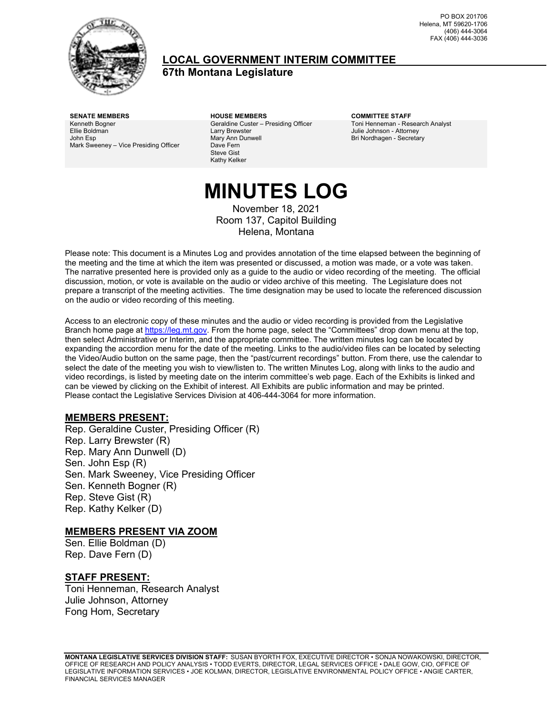

#### **LOCAL GOVERNMENT INTERIM COMMITTEE 67th Montana Legislature**

PO BOX 201706 Helena, MT 59620-1706 (406) 444-3064 FAX (406) 444-3036

Kenneth Bogner Ellie Boldman John Esp Mark Sweeney – Vice Presiding Officer

**SENATE MEMBERS HOUSE MEMBERS COMMITTEE STAFF** Geraldine Custer – Presiding Officer Larry Brewster Mary Ann Dunwell Dave Fern Steve Gist Kathy Kelker

Toni Henneman - Research Analyst Julie Johnson - Attorney Bri Nordhagen - Secretary

# **MINUTES LOG**

November 18, 2021 Room 137, Capitol Building Helena, Montana

Please note: This document is a Minutes Log and provides annotation of the time elapsed between the beginning of the meeting and the time at which the item was presented or discussed, a motion was made, or a vote was taken. The narrative presented here is provided only as a guide to the audio or video recording of the meeting. The official discussion, motion, or vote is available on the audio or video archive of this meeting. The Legislature does not prepare a transcript of the meeting activities. The time designation may be used to locate the referenced discussion on the audio or video recording of this meeting.

Access to an electronic copy of these minutes and the audio or video recording is provided from the Legislative Branch home page a[t https://leg.mt.gov.](http://legmt.gov/) From the home page, select the "Committees" drop down menu at the top, then select Administrative or Interim, and the appropriate committee. The written minutes log can be located by expanding the accordion menu for the date of the meeting. Links to the audio/video files can be located by selecting the Video/Audio button on the same page, then the "past/current recordings" button. From there, use the calendar to select the date of the meeting you wish to view/listen to. The written Minutes Log, along with links to the audio and video recordings, is listed by meeting date on the interim committee's web page. Each of the Exhibits is linked and can be viewed by clicking on the Exhibit of interest. All Exhibits are public information and may be printed. Please contact the Legislative Services Division at 406-444-3064 for more information.

#### **MEMBERS PRESENT:**

Rep. Geraldine Custer, Presiding Officer (R) Rep. Larry Brewster (R) Rep. Mary Ann Dunwell (D) Sen. John Esp (R) Sen. Mark Sweeney, Vice Presiding Officer Sen. Kenneth Bogner (R) Rep. Steve Gist (R) Rep. Kathy Kelker (D)

#### **MEMBERS PRESENT VIA ZOOM**

Sen. Ellie Boldman (D) Rep. Dave Fern (D)

#### **STAFF PRESENT:**

Toni Henneman, Research Analyst Julie Johnson, Attorney Fong Hom, Secretary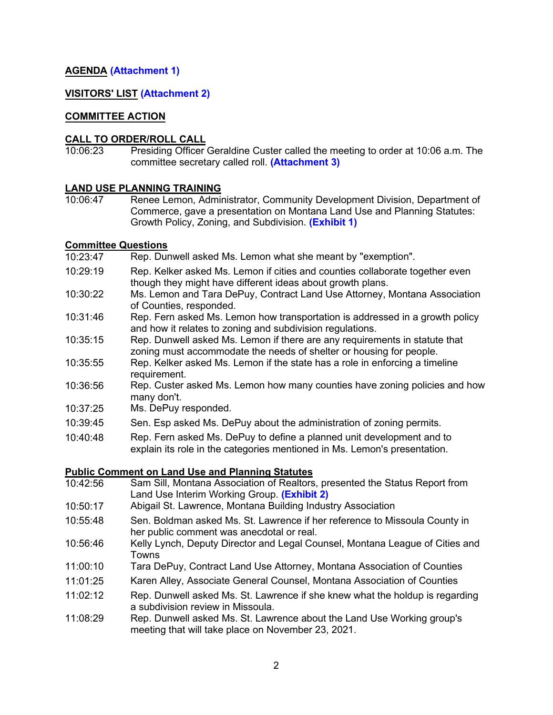#### **AGENDA ([Attachment 1](https://leg.mt.gov/content/Committees/Interim/2021-2022/Local-Gov/21_Nov/LGIC_NovAgenda.pdf))**

#### **VISITORS' LIST [\(Attachment 2\)](https://leg.mt.gov/content/Committees/Interim/2021-2022/Local-Gov/21_Nov/Nov-18-Attachment2.pdf)**

#### **COMMITTEE ACTION**

#### **CALL TO ORDER/ROLL CALL**

10:06:23 Presiding Officer Geraldine Custer called the meeting to order at 10:06 a.m. The committee secretary called roll. **[\(Attachment 3\)](https://leg.mt.gov/content/Committees/Interim/2021-2022/Local-Gov/21_Nov/Nov-18-Attachment3.pdf)**

### **LAND USE PLANNING TRAINING**<br>10:06:47 Renee Lemon, Admir

Renee Lemon, Administrator, Community Development Division, Department of Commerce, gave a presentation on Montana Land Use and Planning Statutes: Growth Policy, Zoning, and Subdivision. **[\(Exhibit 1\)](https://leg.mt.gov/content/Committees/Interim/2021-2022/Local-Gov/21_Nov/MT_Land_Use_Statutes_Training.pdf)**

- **Committee Questions** Rep. Dunwell asked Ms. Lemon what she meant by "exemption".
- 10:29:19 Rep. Kelker asked Ms. Lemon if cities and counties collaborate together even though they might have different ideas about growth plans.
- 10:30:22 Ms. Lemon and Tara DePuy, Contract Land Use Attorney, Montana Association of Counties, responded.
- 10:31:46 Rep. Fern asked Ms. Lemon how transportation is addressed in a growth policy and how it relates to zoning and subdivision regulations.
- 10:35:15 Rep. Dunwell asked Ms. Lemon if there are any requirements in statute that zoning must accommodate the needs of shelter or housing for people.
- 10:35:55 Rep. Kelker asked Ms. Lemon if the state has a role in enforcing a timeline requirement.
- 10:36:56 Rep. Custer asked Ms. Lemon how many counties have zoning policies and how many don't.
- 10:37:25 Ms. DePuy responded.
- 10:39:45 Sen. Esp asked Ms. DePuy about the administration of zoning permits.
- 10:40:48 Rep. Fern asked Ms. DePuy to define a planned unit development and to explain its role in the categories mentioned in Ms. Lemon's presentation.

#### **Public Comment on Land Use and Planning Statutes**

- 10:42:56 Sam Sill, Montana Association of Realtors, presented the Status Report from Land Use Interim Working Group. **[\(Exhibit 2\)](https://leg.mt.gov/content/Committees/Interim/2021-2022/Local-Gov/21_Nov/LandUseWorkingGroup_Memo2.pdf)**
- 10:50:17 Abigail St. Lawrence, Montana Building Industry Association
- 10:55:48 Sen. Boldman asked Ms. St. Lawrence if her reference to Missoula County in her public comment was anecdotal or real.
- 10:56:46 Kelly Lynch, Deputy Director and Legal Counsel, Montana League of Cities and **Towns**
- 11:00:10 Tara DePuy, Contract Land Use Attorney, Montana Association of Counties
- 11:01:25 Karen Alley, Associate General Counsel, Montana Association of Counties
- 11:02:12 Rep. Dunwell asked Ms. St. Lawrence if she knew what the holdup is regarding a subdivision review in Missoula.
- 11:08:29 Rep. Dunwell asked Ms. St. Lawrence about the Land Use Working group's meeting that will take place on November 23, 2021.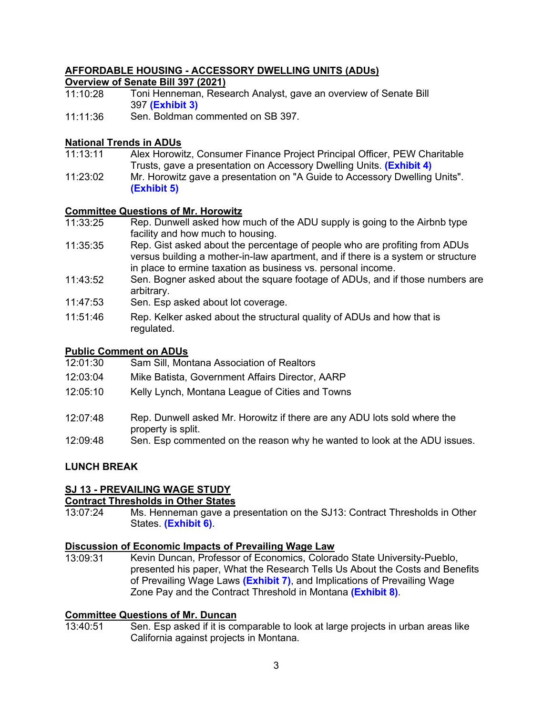#### **AFFORDABLE HOUSING - ACCESSORY DWELLING UNITS (ADUs)**

#### **Overview of Senate Bill 397 (2021)**

- 11:10:28 Toni Henneman, Research Analyst, gave an overview of Senate Bill 397 **([Exhibit 3\)](https://leg.mt.gov/bills/2021/billpdf/SB0397.pdf)**
- 11:11:36 Sen. Boldman commented on SB 397.

#### **National Trends in ADUs**

- 11:13:11 Alex Horowitz, Consumer Finance Project Principal Officer, PEW Charitable Trusts, gave a presentation on Accessory Dwelling Units. **([Exhibit 4\)](https://leg.mt.gov/content/Committees/Interim/2021-2022/Local-Gov/21_Nov/Horowitz_Montana_ADU_18Nov2021.pdf)**
- 11:23:02 Mr. Horowitz gave a presentation on "A Guide to Accessory Dwelling Units". **[\(Exhibit 5\)](https://leg.mt.gov/content/Committees/Interim/2021-2022/Local-Gov/21_Nov/AARP_ADU_ABCs.pdf)**

#### **Committee Questions of Mr. Horowitz**

- 11:33:25 Rep. Dunwell asked how much of the ADU supply is going to the Airbnb type facility and how much to housing.
- 11:35:35 Rep. Gist asked about the percentage of people who are profiting from ADUs versus building a mother-in-law apartment, and if there is a system or structure in place to ermine taxation as business vs. personal income.
- 11:43:52 Sen. Bogner asked about the square footage of ADUs, and if those numbers are arbitrary.
- 11:47:53 Sen. Esp asked about lot coverage.
- 11:51:46 Rep. Kelker asked about the structural quality of ADUs and how that is regulated.

#### **Public Comment on ADUs**

- 12:01:30 Sam Sill, Montana Association of Realtors
- 12:03:04 Mike Batista, Government Affairs Director, AARP
- 12:05:10 Kelly Lynch, Montana League of Cities and Towns
- 12:07:48 Rep. Dunwell asked Mr. Horowitz if there are any ADU lots sold where the property is split.
- 12:09:48 Sen. Esp commented on the reason why he wanted to look at the ADU issues.

#### **LUNCH BREAK**

#### **SJ 13 - PREVAILING WAGE STUDY**

### **Contract Thresholds in Other States**<br>13:07:24 Ms. Henneman gave a p

Ms. Henneman gave a presentation on the SJ13: Contract Thresholds in Other States. **([Exhibit](https://leg.mt.gov/content/Committees/Interim/2021-2022/Local-Gov/21_Nov/OtherStateThresholds.pdf) 6)**.

### **Discussion of Economic Impacts of Prevailing Wage Law**

Kevin Duncan, Professor of Economics, Colorado State University-Pueblo. presented his paper, What the Research Tells Us About the Costs and Benefits of Prevailing Wage Laws **([Exhibit 7](https://leg.mt.gov/content/Committees/Interim/2021-2022/Local-Gov/21_Nov/DuncanReport_MontanaPrevailingWageStudy2021.pdf))**, and Implications of Prevailing Wage Zone Pay and the Contract Threshold in Montana **[\(Exhibit 8](https://leg.mt.gov/content/Committees/Interim/2021-2022/Local-Gov/21_Nov/SJ23presentation_Duncan.pdf))**.

### **Committee Questions of Mr. Duncan**

Sen. Esp asked if it is comparable to look at large projects in urban areas like California against projects in Montana.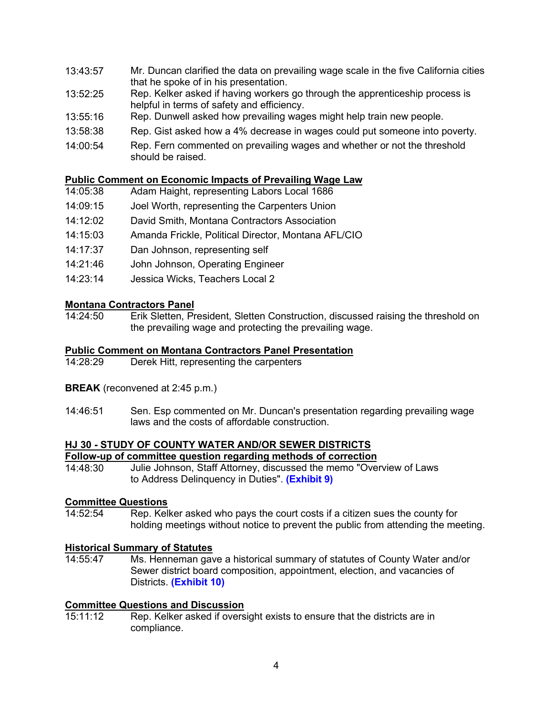- 13:43:57 Mr. Duncan clarified the data on prevailing wage scale in the five California cities that he spoke of in his presentation.
- 13:52:25 Rep. Kelker asked if having workers go through the apprenticeship process is helpful in terms of safety and efficiency.
- 13:55:16 Rep. Dunwell asked how prevailing wages might help train new people.
- 13:58:38 Rep. Gist asked how a 4% decrease in wages could put someone into poverty.
- 14:00:54 Rep. Fern commented on prevailing wages and whether or not the threshold should be raised.

#### **Public Comment on Economic Impacts of Prevailing Wage Law**

- 14:05:38 Adam Haight, representing Labors Local 1686
- 14:09:15 Joel Worth, representing the Carpenters Union
- 14:12:02 David Smith, Montana Contractors Association
- 14:15:03 Amanda Frickle, Political Director, Montana AFL/CIO
- 14:17:37 Dan Johnson, representing self
- 14:21:46 John Johnson, Operating Engineer
- 14:23:14 Jessica Wicks, Teachers Local 2

### **Montana Contractors Panel**<br>14:24:50 **Erik Sletten, Pr**

Erik Sletten, President, Sletten Construction, discussed raising the threshold on the prevailing wage and protecting the prevailing wage.

#### **Public Comment on Montana Contractors Panel Presentation**

- 14:28:29 Derek Hitt, representing the carpenters
- **BREAK** (reconvened at 2:45 p.m.)
- 14:46:51 Sen. Esp commented on Mr. Duncan's presentation regarding prevailing wage laws and the costs of affordable construction.

### **HJ 30 - STUDY OF COUNTY WATER AND/OR SEWER DISTRICTS**

**Follow-up of committee question regarding methods of correction** Julie Johnson, Staff Attorney, discussed the memo "Overview of Laws to Address Delinquency in Duties". **[\(Exhibit 9](https://leg.mt.gov/content/Committees/Interim/2021-2022/Local-Gov/21_Nov/Memo_StatutesRelated_to_SD_supervision.pdf))**

## **Committee Questions**

Rep. Kelker asked who pays the court costs if a citizen sues the county for holding meetings without notice to prevent the public from attending the meeting.

### **Historical Summary of Statutes**

Ms. Henneman gave a historical summary of statutes of County Water and/or Sewer district board composition, appointment, election, and vacancies of Districts. **[\(Exhibit 10](https://leg.mt.gov/content/Committees/Interim/2021-2022/Local-Gov/21_Nov/HJ30_BoardComp_HistoricalSummary.pdf))** 

### **Committee Questions and Discussion**<br>15:11:12 Rep. Kelker asked if overs

Rep. Kelker asked if oversight exists to ensure that the districts are in compliance.